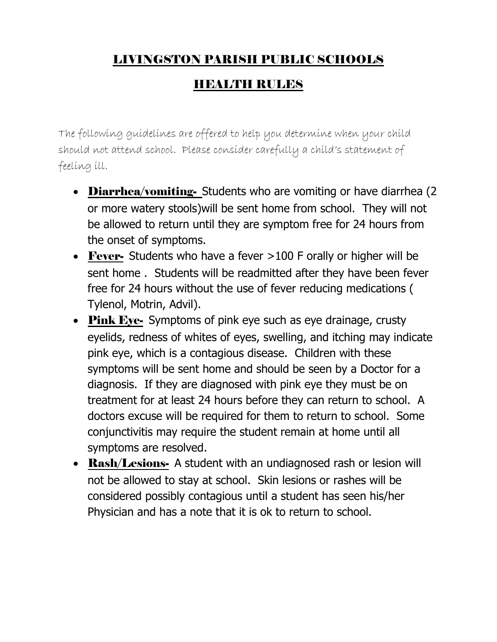## LIVINGSTON PARISH PUBLIC SCHOOLS

## HEALTH RULES

The following guidelines are offered to help you determine when your child should not attend school. Please consider carefully a child's statement of feeling ill.

- Diarrhea/vomiting- Students who are vomiting or have diarrhea (2 or more watery stools)will be sent home from school. They will not be allowed to return until they are symptom free for 24 hours from the onset of symptoms.
- Fever- Students who have a fever >100 F orally or higher will be sent home . Students will be readmitted after they have been fever free for 24 hours without the use of fever reducing medications ( Tylenol, Motrin, Advil).
- Pink Eye- Symptoms of pink eye such as eye drainage, crusty eyelids, redness of whites of eyes, swelling, and itching may indicate pink eye, which is a contagious disease. Children with these symptoms will be sent home and should be seen by a Doctor for a diagnosis. If they are diagnosed with pink eye they must be on treatment for at least 24 hours before they can return to school. A doctors excuse will be required for them to return to school. Some conjunctivitis may require the student remain at home until all symptoms are resolved.
- Rash/Lesions- A student with an undiagnosed rash or lesion will not be allowed to stay at school. Skin lesions or rashes will be considered possibly contagious until a student has seen his/her Physician and has a note that it is ok to return to school.